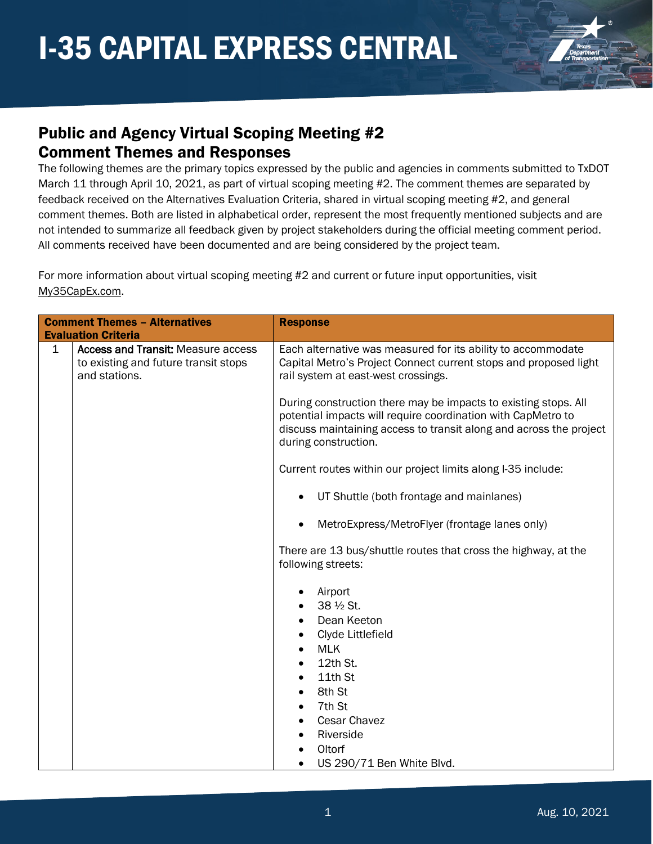

#### Public and Agency Virtual Scoping Meeting #2 Comment Themes and Responses

The following themes are the primary topics expressed by the public and agencies in comments submitted to TxDOT March 11 through April 10, 2021, as part of virtual scoping meeting #2. The comment themes are separated by feedback received on the Alternatives Evaluation Criteria, shared in virtual scoping meeting #2, and general comment themes. Both are listed in alphabetical order, represent the most frequently mentioned subjects and are not intended to summarize all feedback given by project stakeholders during the official meeting comment period. All comments received have been documented and are being considered by the project team.

For more information about virtual scoping meeting #2 and current or future input opportunities, visit [My35CapEx.com.](https://my35capex.com/)

|             | <b>Comment Themes - Alternatives</b>                                                               | <b>Response</b>                                                                                                                                                                                                               |
|-------------|----------------------------------------------------------------------------------------------------|-------------------------------------------------------------------------------------------------------------------------------------------------------------------------------------------------------------------------------|
|             | <b>Evaluation Criteria</b>                                                                         |                                                                                                                                                                                                                               |
| $\mathbf 1$ | <b>Access and Transit: Measure access</b><br>to existing and future transit stops<br>and stations. | Each alternative was measured for its ability to accommodate<br>Capital Metro's Project Connect current stops and proposed light<br>rail system at east-west crossings.                                                       |
|             |                                                                                                    | During construction there may be impacts to existing stops. All<br>potential impacts will require coordination with CapMetro to<br>discuss maintaining access to transit along and across the project<br>during construction. |
|             |                                                                                                    | Current routes within our project limits along I-35 include:                                                                                                                                                                  |
|             |                                                                                                    | UT Shuttle (both frontage and mainlanes)                                                                                                                                                                                      |
|             |                                                                                                    | MetroExpress/MetroFlyer (frontage lanes only)                                                                                                                                                                                 |
|             |                                                                                                    | There are 13 bus/shuttle routes that cross the highway, at the<br>following streets:                                                                                                                                          |
|             |                                                                                                    | Airport<br>38 1/2 St.<br>Dean Keeton<br>Clyde Littlefield<br><b>MLK</b><br>12th St.<br>11th St<br>8th St<br>7th St<br><b>Cesar Chavez</b><br>Riverside                                                                        |
|             |                                                                                                    | Oltorf                                                                                                                                                                                                                        |
|             |                                                                                                    | US 290/71 Ben White Blvd.                                                                                                                                                                                                     |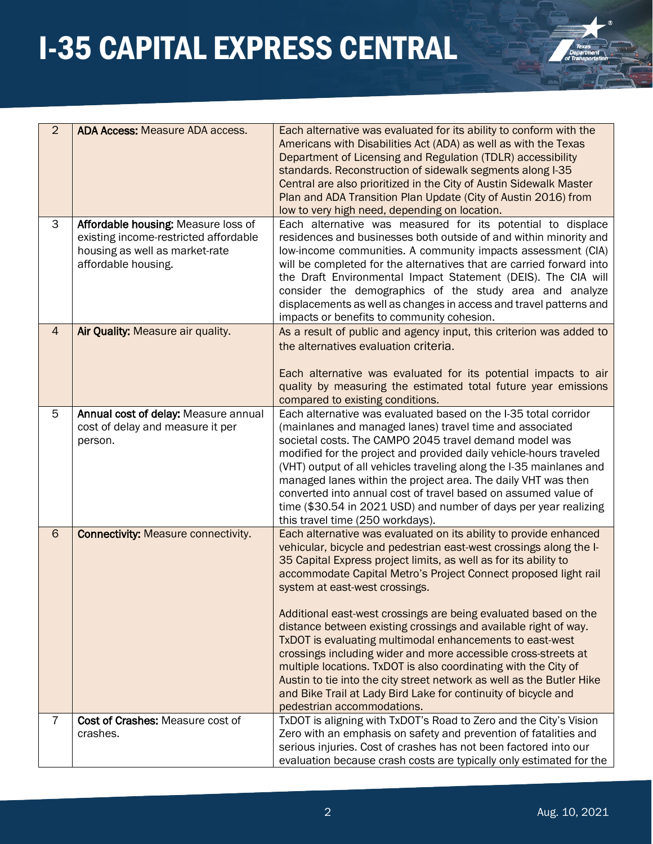

| $\overline{2}$ | <b>ADA Access: Measure ADA access.</b>                                                                                                | Each alternative was evaluated for its ability to conform with the<br>Americans with Disabilities Act (ADA) as well as with the Texas<br>Department of Licensing and Regulation (TDLR) accessibility<br>standards. Reconstruction of sidewalk segments along I-35<br>Central are also prioritized in the City of Austin Sidewalk Master<br>Plan and ADA Transition Plan Update (City of Austin 2016) from<br>low to very high need, depending on location.                                                                                                                                                                                                                                                                                                                                                                       |
|----------------|---------------------------------------------------------------------------------------------------------------------------------------|----------------------------------------------------------------------------------------------------------------------------------------------------------------------------------------------------------------------------------------------------------------------------------------------------------------------------------------------------------------------------------------------------------------------------------------------------------------------------------------------------------------------------------------------------------------------------------------------------------------------------------------------------------------------------------------------------------------------------------------------------------------------------------------------------------------------------------|
| 3              | Affordable housing: Measure loss of<br>existing income-restricted affordable<br>housing as well as market-rate<br>affordable housing. | Each alternative was measured for its potential to displace<br>residences and businesses both outside of and within minority and<br>low-income communities. A community impacts assessment (CIA)<br>will be completed for the alternatives that are carried forward into<br>the Draft Environmental Impact Statement (DEIS). The CIA will<br>consider the demographics of the study area and analyze<br>displacements as well as changes in access and travel patterns and<br>impacts or benefits to community cohesion.                                                                                                                                                                                                                                                                                                         |
| $\overline{4}$ | Air Quality: Measure air quality.                                                                                                     | As a result of public and agency input, this criterion was added to<br>the alternatives evaluation criteria.<br>Each alternative was evaluated for its potential impacts to air<br>quality by measuring the estimated total future year emissions<br>compared to existing conditions.                                                                                                                                                                                                                                                                                                                                                                                                                                                                                                                                            |
| 5              | Annual cost of delay: Measure annual<br>cost of delay and measure it per<br>person.                                                   | Each alternative was evaluated based on the I-35 total corridor<br>(mainlanes and managed lanes) travel time and associated<br>societal costs. The CAMPO 2045 travel demand model was<br>modified for the project and provided daily vehicle-hours traveled<br>(VHT) output of all vehicles traveling along the I-35 mainlanes and<br>managed lanes within the project area. The daily VHT was then<br>converted into annual cost of travel based on assumed value of<br>time (\$30.54 in 2021 USD) and number of days per year realizing<br>this travel time (250 workdays).                                                                                                                                                                                                                                                    |
| 6              | <b>Connectivity: Measure connectivity.</b>                                                                                            | Each alternative was evaluated on its ability to provide enhanced<br>vehicular, bicycle and pedestrian east-west crossings along the I-<br>35 Capital Express project limits, as well as for its ability to<br>accommodate Capital Metro's Project Connect proposed light rail<br>system at east-west crossings.<br>Additional east-west crossings are being evaluated based on the<br>distance between existing crossings and available right of way.<br>TxDOT is evaluating multimodal enhancements to east-west<br>crossings including wider and more accessible cross-streets at<br>multiple locations. TxDOT is also coordinating with the City of<br>Austin to tie into the city street network as well as the Butler Hike<br>and Bike Trail at Lady Bird Lake for continuity of bicycle and<br>pedestrian accommodations. |
| 7              | Cost of Crashes: Measure cost of<br>crashes.                                                                                          | TxDOT is aligning with TxDOT's Road to Zero and the City's Vision<br>Zero with an emphasis on safety and prevention of fatalities and<br>serious injuries. Cost of crashes has not been factored into our<br>evaluation because crash costs are typically only estimated for the                                                                                                                                                                                                                                                                                                                                                                                                                                                                                                                                                 |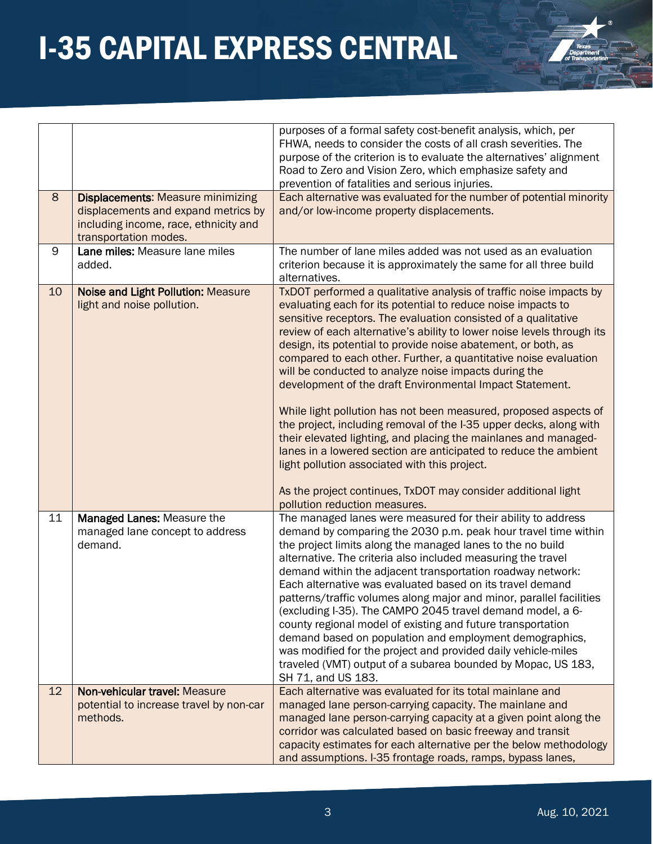| $^{\circ}$                               |
|------------------------------------------|
|                                          |
| Texas<br>Department<br>of Transportation |
|                                          |

|    |                                                                                                                                                   | purposes of a formal safety cost-benefit analysis, which, per<br>FHWA, needs to consider the costs of all crash severities. The<br>purpose of the criterion is to evaluate the alternatives' alignment<br>Road to Zero and Vision Zero, which emphasize safety and<br>prevention of fatalities and serious injuries.                                                                                                                                                                                                                                                                                                                                                                                                                                                                                                                                                                                                                                                         |
|----|---------------------------------------------------------------------------------------------------------------------------------------------------|------------------------------------------------------------------------------------------------------------------------------------------------------------------------------------------------------------------------------------------------------------------------------------------------------------------------------------------------------------------------------------------------------------------------------------------------------------------------------------------------------------------------------------------------------------------------------------------------------------------------------------------------------------------------------------------------------------------------------------------------------------------------------------------------------------------------------------------------------------------------------------------------------------------------------------------------------------------------------|
| 8  | <b>Displacements: Measure minimizing</b><br>displacements and expand metrics by<br>including income, race, ethnicity and<br>transportation modes. | Each alternative was evaluated for the number of potential minority<br>and/or low-income property displacements.                                                                                                                                                                                                                                                                                                                                                                                                                                                                                                                                                                                                                                                                                                                                                                                                                                                             |
| 9  | Lane miles: Measure lane miles<br>added.                                                                                                          | The number of lane miles added was not used as an evaluation<br>criterion because it is approximately the same for all three build<br>alternatives.                                                                                                                                                                                                                                                                                                                                                                                                                                                                                                                                                                                                                                                                                                                                                                                                                          |
| 10 | Noise and Light Pollution: Measure<br>light and noise pollution.                                                                                  | TxDOT performed a qualitative analysis of traffic noise impacts by<br>evaluating each for its potential to reduce noise impacts to<br>sensitive receptors. The evaluation consisted of a qualitative<br>review of each alternative's ability to lower noise levels through its<br>design, its potential to provide noise abatement, or both, as<br>compared to each other. Further, a quantitative noise evaluation<br>will be conducted to analyze noise impacts during the<br>development of the draft Environmental Impact Statement.<br>While light pollution has not been measured, proposed aspects of<br>the project, including removal of the I-35 upper decks, along with<br>their elevated lighting, and placing the mainlanes and managed-<br>lanes in a lowered section are anticipated to reduce the ambient<br>light pollution associated with this project.<br>As the project continues, TxDOT may consider additional light<br>pollution reduction measures. |
| 11 | Managed Lanes: Measure the<br>managed lane concept to address<br>demand.                                                                          | The managed lanes were measured for their ability to address<br>demand by comparing the 2030 p.m. peak hour travel time within<br>the project limits along the managed lanes to the no build<br>alternative. The criteria also included measuring the travel<br>demand within the adjacent transportation roadway network:<br>Each alternative was evaluated based on its travel demand<br>patterns/traffic volumes along major and minor, parallel facilities<br>(excluding I-35). The CAMPO 2045 travel demand model, a 6-<br>county regional model of existing and future transportation<br>demand based on population and employment demographics,<br>was modified for the project and provided daily vehicle-miles<br>traveled (VMT) output of a subarea bounded by Mopac, US 183,<br>SH 71, and US 183.                                                                                                                                                                |
| 12 | Non-vehicular travel: Measure<br>potential to increase travel by non-car<br>methods.                                                              | Each alternative was evaluated for its total mainlane and<br>managed lane person-carrying capacity. The mainlane and<br>managed lane person-carrying capacity at a given point along the<br>corridor was calculated based on basic freeway and transit<br>capacity estimates for each alternative per the below methodology<br>and assumptions. I-35 frontage roads, ramps, bypass lanes,                                                                                                                                                                                                                                                                                                                                                                                                                                                                                                                                                                                    |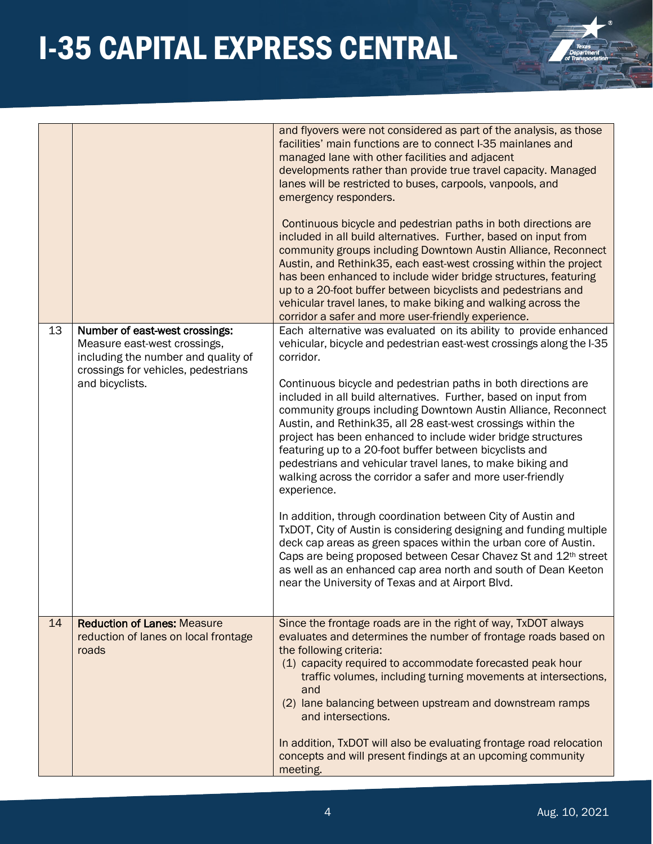#### 4 Aug. 10, 2021

|  | <b>I-35 CAPITAL EXPRESS CENTRAL</b> |
|--|-------------------------------------|
|  |                                     |

|    |                                                                                                                                              | and flyovers were not considered as part of the analysis, as those<br>facilities' main functions are to connect I-35 mainlanes and<br>managed lane with other facilities and adjacent<br>developments rather than provide true travel capacity. Managed<br>lanes will be restricted to buses, carpools, vanpools, and<br>emergency responders.<br>Continuous bicycle and pedestrian paths in both directions are<br>included in all build alternatives. Further, based on input from<br>community groups including Downtown Austin Alliance, Reconnect<br>Austin, and Rethink 35, each east-west crossing within the project<br>has been enhanced to include wider bridge structures, featuring<br>up to a 20-foot buffer between bicyclists and pedestrians and<br>vehicular travel lanes, to make biking and walking across the<br>corridor a safer and more user-friendly experience. |
|----|----------------------------------------------------------------------------------------------------------------------------------------------|------------------------------------------------------------------------------------------------------------------------------------------------------------------------------------------------------------------------------------------------------------------------------------------------------------------------------------------------------------------------------------------------------------------------------------------------------------------------------------------------------------------------------------------------------------------------------------------------------------------------------------------------------------------------------------------------------------------------------------------------------------------------------------------------------------------------------------------------------------------------------------------|
| 13 | Number of east-west crossings:<br>Measure east-west crossings,<br>including the number and quality of<br>crossings for vehicles, pedestrians | Each alternative was evaluated on its ability to provide enhanced<br>vehicular, bicycle and pedestrian east-west crossings along the I-35<br>corridor.                                                                                                                                                                                                                                                                                                                                                                                                                                                                                                                                                                                                                                                                                                                                   |
|    | and bicyclists.                                                                                                                              | Continuous bicycle and pedestrian paths in both directions are<br>included in all build alternatives. Further, based on input from<br>community groups including Downtown Austin Alliance, Reconnect<br>Austin, and Rethink35, all 28 east-west crossings within the<br>project has been enhanced to include wider bridge structures<br>featuring up to a 20-foot buffer between bicyclists and<br>pedestrians and vehicular travel lanes, to make biking and<br>walking across the corridor a safer and more user-friendly<br>experience.                                                                                                                                                                                                                                                                                                                                               |
|    |                                                                                                                                              | In addition, through coordination between City of Austin and<br>TxDOT, City of Austin is considering designing and funding multiple<br>deck cap areas as green spaces within the urban core of Austin.<br>Caps are being proposed between Cesar Chavez St and 12th street<br>as well as an enhanced cap area north and south of Dean Keeton<br>near the University of Texas and at Airport Blvd.                                                                                                                                                                                                                                                                                                                                                                                                                                                                                         |
| 14 | <b>Reduction of Lanes: Measure</b><br>reduction of lanes on local frontage<br>roads                                                          | Since the frontage roads are in the right of way, TxDOT always<br>evaluates and determines the number of frontage roads based on<br>the following criteria:<br>(1) capacity required to accommodate forecasted peak hour<br>traffic volumes, including turning movements at intersections,<br>and<br>(2) lane balancing between upstream and downstream ramps<br>and intersections.                                                                                                                                                                                                                                                                                                                                                                                                                                                                                                      |
|    |                                                                                                                                              | In addition, TxDOT will also be evaluating frontage road relocation<br>concepts and will present findings at an upcoming community<br>meeting.                                                                                                                                                                                                                                                                                                                                                                                                                                                                                                                                                                                                                                                                                                                                           |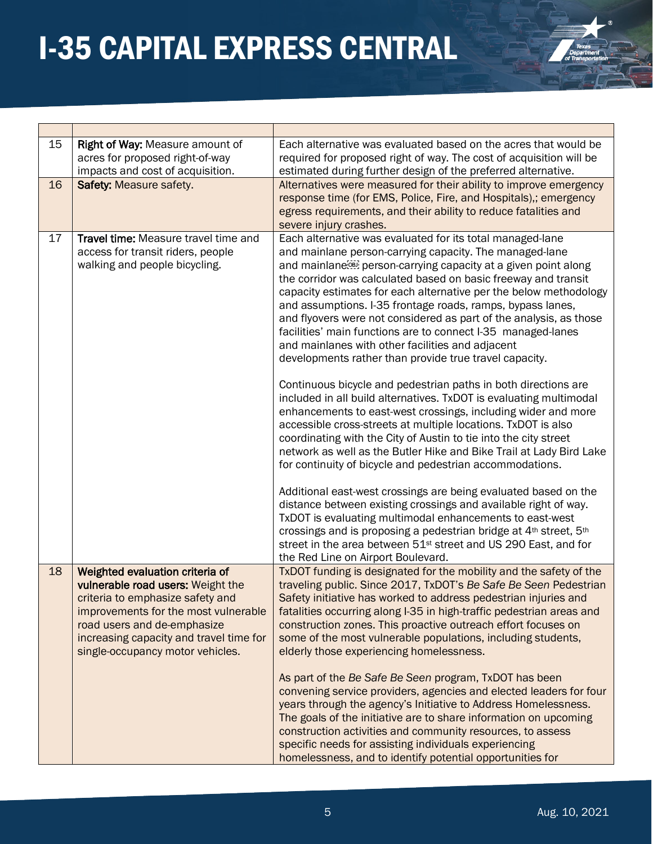| 15 | Right of Way: Measure amount of<br>acres for proposed right-of-way<br>impacts and cost of acquisition.                                                                                                                                                         | Each alternative was evaluated based on the acres that would be<br>required for proposed right of way. The cost of acquisition will be<br>estimated during further design of the preferred alternative.                                                                                                                                                                                                                                                                                                                                                                                                                                                                                                                                                                                                                                                                                                                                                                                                                                                                                                                                                                                                                                                                                                                                                                                                                                                                                              |
|----|----------------------------------------------------------------------------------------------------------------------------------------------------------------------------------------------------------------------------------------------------------------|------------------------------------------------------------------------------------------------------------------------------------------------------------------------------------------------------------------------------------------------------------------------------------------------------------------------------------------------------------------------------------------------------------------------------------------------------------------------------------------------------------------------------------------------------------------------------------------------------------------------------------------------------------------------------------------------------------------------------------------------------------------------------------------------------------------------------------------------------------------------------------------------------------------------------------------------------------------------------------------------------------------------------------------------------------------------------------------------------------------------------------------------------------------------------------------------------------------------------------------------------------------------------------------------------------------------------------------------------------------------------------------------------------------------------------------------------------------------------------------------------|
| 16 | <b>Safety: Measure safety.</b>                                                                                                                                                                                                                                 | Alternatives were measured for their ability to improve emergency<br>response time (for EMS, Police, Fire, and Hospitals),; emergency<br>egress requirements, and their ability to reduce fatalities and<br>severe injury crashes.                                                                                                                                                                                                                                                                                                                                                                                                                                                                                                                                                                                                                                                                                                                                                                                                                                                                                                                                                                                                                                                                                                                                                                                                                                                                   |
| 17 | Travel time: Measure travel time and<br>access for transit riders, people<br>walking and people bicycling.                                                                                                                                                     | Each alternative was evaluated for its total managed-lane<br>and mainlane person-carrying capacity. The managed-lane<br>and mainlane <sup>[68]</sup> person-carrying capacity at a given point along<br>the corridor was calculated based on basic freeway and transit<br>capacity estimates for each alternative per the below methodology<br>and assumptions. I-35 frontage roads, ramps, bypass lanes,<br>and flyovers were not considered as part of the analysis, as those<br>facilities' main functions are to connect I-35 managed-lanes<br>and mainlanes with other facilities and adjacent<br>developments rather than provide true travel capacity.<br>Continuous bicycle and pedestrian paths in both directions are<br>included in all build alternatives. TxDOT is evaluating multimodal<br>enhancements to east-west crossings, including wider and more<br>accessible cross-streets at multiple locations. TxDOT is also<br>coordinating with the City of Austin to tie into the city street<br>network as well as the Butler Hike and Bike Trail at Lady Bird Lake<br>for continuity of bicycle and pedestrian accommodations.<br>Additional east-west crossings are being evaluated based on the<br>distance between existing crossings and available right of way.<br>TxDOT is evaluating multimodal enhancements to east-west<br>crossings and is proposing a pedestrian bridge at 4th street, 5th<br>street in the area between 51 <sup>st</sup> street and US 290 East, and for |
|    |                                                                                                                                                                                                                                                                | the Red Line on Airport Boulevard.                                                                                                                                                                                                                                                                                                                                                                                                                                                                                                                                                                                                                                                                                                                                                                                                                                                                                                                                                                                                                                                                                                                                                                                                                                                                                                                                                                                                                                                                   |
| 18 | Weighted evaluation criteria of<br>vulnerable road users: Weight the<br>criteria to emphasize safety and<br>improvements for the most vulnerable<br>road users and de-emphasize<br>increasing capacity and travel time for<br>single-occupancy motor vehicles. | TxDOT funding is designated for the mobility and the safety of the<br>traveling public. Since 2017, TxDOT's Be Safe Be Seen Pedestrian<br>Safety initiative has worked to address pedestrian injuries and<br>fatalities occurring along I-35 in high-traffic pedestrian areas and<br>construction zones. This proactive outreach effort focuses on<br>some of the most vulnerable populations, including students,<br>elderly those experiencing homelessness.                                                                                                                                                                                                                                                                                                                                                                                                                                                                                                                                                                                                                                                                                                                                                                                                                                                                                                                                                                                                                                       |
|    |                                                                                                                                                                                                                                                                | As part of the Be Safe Be Seen program, TxDOT has been<br>convening service providers, agencies and elected leaders for four<br>years through the agency's Initiative to Address Homelessness.<br>The goals of the initiative are to share information on upcoming<br>construction activities and community resources, to assess<br>specific needs for assisting individuals experiencing<br>homelessness, and to identify potential opportunities for                                                                                                                                                                                                                                                                                                                                                                                                                                                                                                                                                                                                                                                                                                                                                                                                                                                                                                                                                                                                                                               |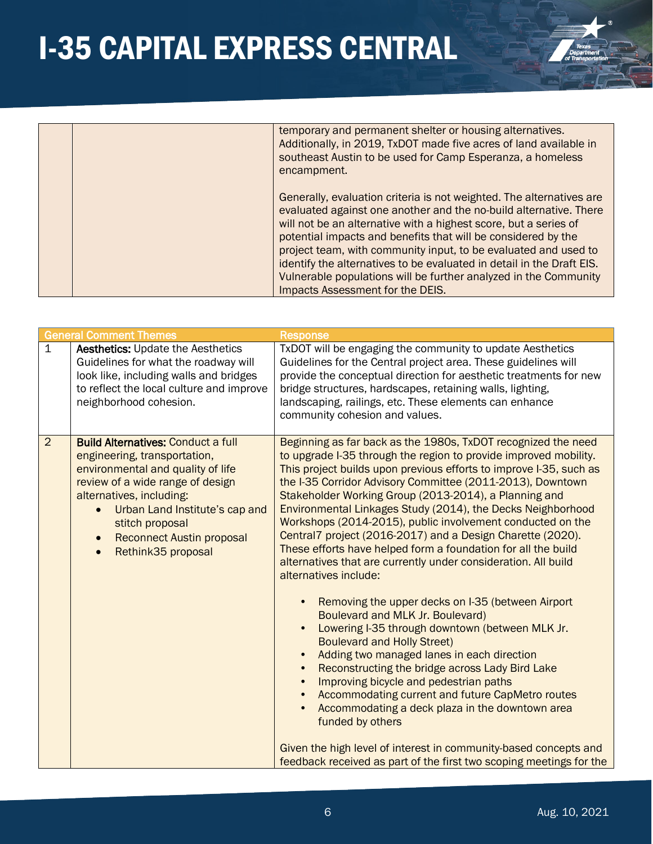

|  | temporary and permanent shelter or housing alternatives.<br>Additionally, in 2019, TxDOT made five acres of land available in<br>southeast Austin to be used for Camp Esperanza, a homeless<br>encampment.                                                                                                                                                                                                                                                                                                                         |
|--|------------------------------------------------------------------------------------------------------------------------------------------------------------------------------------------------------------------------------------------------------------------------------------------------------------------------------------------------------------------------------------------------------------------------------------------------------------------------------------------------------------------------------------|
|  | Generally, evaluation criteria is not weighted. The alternatives are<br>evaluated against one another and the no-build alternative. There<br>will not be an alternative with a highest score, but a series of<br>potential impacts and benefits that will be considered by the<br>project team, with community input, to be evaluated and used to<br>identify the alternatives to be evaluated in detail in the Draft EIS.<br>Vulnerable populations will be further analyzed in the Community<br>Impacts Assessment for the DEIS. |

|                | <b>General Comment Themes</b>                                                                                                                                                                                                                                                                                           | <b>Response</b>                                                                                                                                                                                                                                                                                                                                                                                                                                                                                                                                                                                                                                                                                                                                                                                                                                                                                                                                                                                                                                                                                                                                                                                                                          |
|----------------|-------------------------------------------------------------------------------------------------------------------------------------------------------------------------------------------------------------------------------------------------------------------------------------------------------------------------|------------------------------------------------------------------------------------------------------------------------------------------------------------------------------------------------------------------------------------------------------------------------------------------------------------------------------------------------------------------------------------------------------------------------------------------------------------------------------------------------------------------------------------------------------------------------------------------------------------------------------------------------------------------------------------------------------------------------------------------------------------------------------------------------------------------------------------------------------------------------------------------------------------------------------------------------------------------------------------------------------------------------------------------------------------------------------------------------------------------------------------------------------------------------------------------------------------------------------------------|
| $\mathbf{1}$   | <b>Aesthetics: Update the Aesthetics</b><br>Guidelines for what the roadway will<br>look like, including walls and bridges<br>to reflect the local culture and improve<br>neighborhood cohesion.                                                                                                                        | TxDOT will be engaging the community to update Aesthetics<br>Guidelines for the Central project area. These guidelines will<br>provide the conceptual direction for aesthetic treatments for new<br>bridge structures, hardscapes, retaining walls, lighting,<br>landscaping, railings, etc. These elements can enhance<br>community cohesion and values.                                                                                                                                                                                                                                                                                                                                                                                                                                                                                                                                                                                                                                                                                                                                                                                                                                                                                |
| $\overline{2}$ | <b>Build Alternatives: Conduct a full</b><br>engineering, transportation,<br>environmental and quality of life<br>review of a wide range of design<br>alternatives, including:<br>Urban Land Institute's cap and<br>stitch proposal<br><b>Reconnect Austin proposal</b><br>$\bullet$<br>Rethink35 proposal<br>$\bullet$ | Beginning as far back as the 1980s, TxDOT recognized the need<br>to upgrade I-35 through the region to provide improved mobility.<br>This project builds upon previous efforts to improve I-35, such as<br>the I-35 Corridor Advisory Committee (2011-2013), Downtown<br>Stakeholder Working Group (2013-2014), a Planning and<br>Environmental Linkages Study (2014), the Decks Neighborhood<br>Workshops (2014-2015), public involvement conducted on the<br>Central7 project (2016-2017) and a Design Charette (2020).<br>These efforts have helped form a foundation for all the build<br>alternatives that are currently under consideration. All build<br>alternatives include:<br>Removing the upper decks on I-35 (between Airport<br>$\bullet$<br>Boulevard and MLK Jr. Boulevard)<br>Lowering I-35 through downtown (between MLK Jr.<br>$\bullet$<br><b>Boulevard and Holly Street)</b><br>Adding two managed lanes in each direction<br>$\bullet$<br>Reconstructing the bridge across Lady Bird Lake<br>$\bullet$<br>Improving bicycle and pedestrian paths<br>$\bullet$<br>Accommodating current and future CapMetro routes<br>$\bullet$<br>Accommodating a deck plaza in the downtown area<br>$\bullet$<br>funded by others |
|                |                                                                                                                                                                                                                                                                                                                         | Given the high level of interest in community-based concepts and<br>feedback received as part of the first two scoping meetings for the                                                                                                                                                                                                                                                                                                                                                                                                                                                                                                                                                                                                                                                                                                                                                                                                                                                                                                                                                                                                                                                                                                  |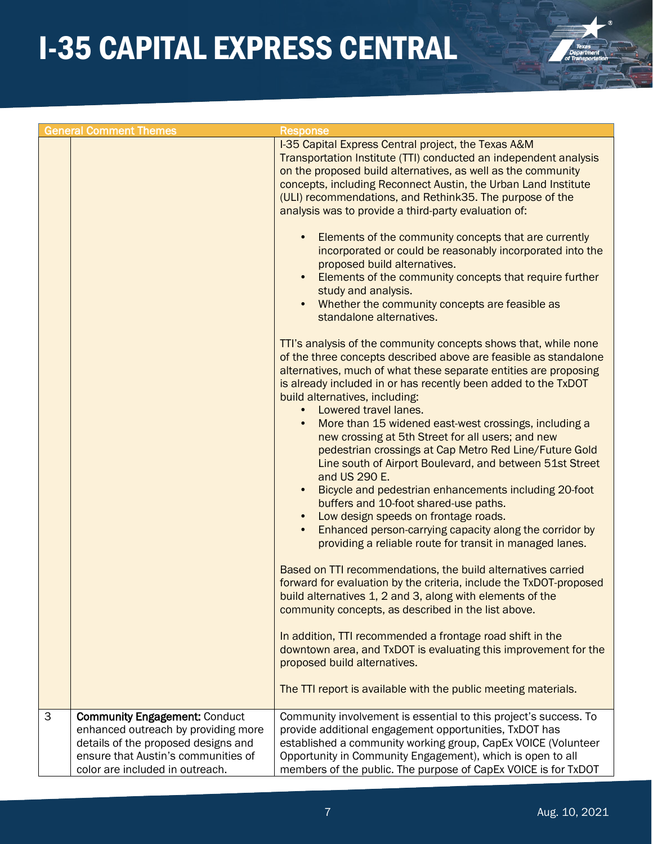

|   | <b>General Comment Themes</b>                                                                                                                                                                | <b>Response</b>                                                                                                                                                                                                                                                                                                                                                                                                                                                                                                                                                                                                                                                                                                                                                                                                                                                                                                                                                                                                                                                                                                                                                                                                                                                                                                                                                                                                                                                                                                                                                                                                                                                                                                                                                                                                                                                                                                                                                                                                                                                                                      |
|---|----------------------------------------------------------------------------------------------------------------------------------------------------------------------------------------------|------------------------------------------------------------------------------------------------------------------------------------------------------------------------------------------------------------------------------------------------------------------------------------------------------------------------------------------------------------------------------------------------------------------------------------------------------------------------------------------------------------------------------------------------------------------------------------------------------------------------------------------------------------------------------------------------------------------------------------------------------------------------------------------------------------------------------------------------------------------------------------------------------------------------------------------------------------------------------------------------------------------------------------------------------------------------------------------------------------------------------------------------------------------------------------------------------------------------------------------------------------------------------------------------------------------------------------------------------------------------------------------------------------------------------------------------------------------------------------------------------------------------------------------------------------------------------------------------------------------------------------------------------------------------------------------------------------------------------------------------------------------------------------------------------------------------------------------------------------------------------------------------------------------------------------------------------------------------------------------------------------------------------------------------------------------------------------------------------|
|   |                                                                                                                                                                                              | I-35 Capital Express Central project, the Texas A&M<br>Transportation Institute (TTI) conducted an independent analysis<br>on the proposed build alternatives, as well as the community<br>concepts, including Reconnect Austin, the Urban Land Institute<br>(ULI) recommendations, and Rethink35. The purpose of the<br>analysis was to provide a third-party evaluation of:<br>Elements of the community concepts that are currently<br>incorporated or could be reasonably incorporated into the<br>proposed build alternatives.<br>Elements of the community concepts that require further<br>study and analysis.<br>Whether the community concepts are feasible as<br>standalone alternatives.<br>TTI's analysis of the community concepts shows that, while none<br>of the three concepts described above are feasible as standalone<br>alternatives, much of what these separate entities are proposing<br>is already included in or has recently been added to the TxDOT<br>build alternatives, including:<br>Lowered travel lanes.<br>$\bullet$<br>More than 15 widened east-west crossings, including a<br>new crossing at 5th Street for all users; and new<br>pedestrian crossings at Cap Metro Red Line/Future Gold<br>Line south of Airport Boulevard, and between 51st Street<br>and US 290 E.<br>Bicycle and pedestrian enhancements including 20-foot<br>buffers and 10-foot shared-use paths.<br>Low design speeds on frontage roads.<br>$\bullet$<br>Enhanced person-carrying capacity along the corridor by<br>$\bullet$<br>providing a reliable route for transit in managed lanes.<br>Based on TTI recommendations, the build alternatives carried<br>forward for evaluation by the criteria, include the TxDOT-proposed<br>build alternatives 1, 2 and 3, along with elements of the<br>community concepts, as described in the list above.<br>In addition, TTI recommended a frontage road shift in the<br>downtown area, and TxDOT is evaluating this improvement for the<br>proposed build alternatives.<br>The TTI report is available with the public meeting materials. |
| 3 | <b>Community Engagement: Conduct</b><br>enhanced outreach by providing more<br>details of the proposed designs and<br>ensure that Austin's communities of<br>color are included in outreach. | Community involvement is essential to this project's success. To<br>provide additional engagement opportunities, TxDOT has<br>established a community working group, CapEx VOICE (Volunteer<br>Opportunity in Community Engagement), which is open to all<br>members of the public. The purpose of CapEx VOICE is for TxDOT                                                                                                                                                                                                                                                                                                                                                                                                                                                                                                                                                                                                                                                                                                                                                                                                                                                                                                                                                                                                                                                                                                                                                                                                                                                                                                                                                                                                                                                                                                                                                                                                                                                                                                                                                                          |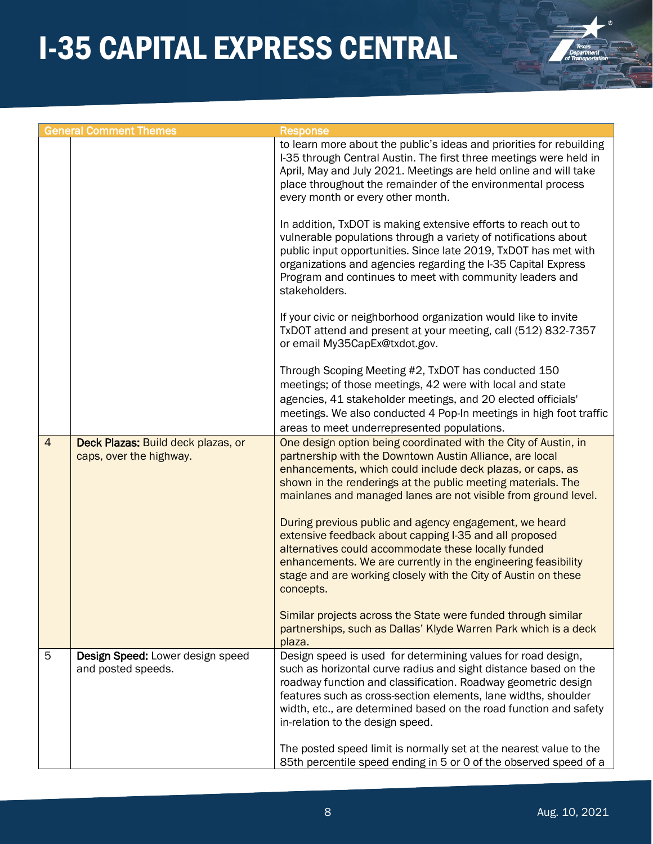

|                | <b>General Comment Themes</b>                                 | <b>Response</b>                                                                                                                                                                                                                                                                                                                                                                                                                                                                                                                                                                                                                                                                                                                                                                                      |
|----------------|---------------------------------------------------------------|------------------------------------------------------------------------------------------------------------------------------------------------------------------------------------------------------------------------------------------------------------------------------------------------------------------------------------------------------------------------------------------------------------------------------------------------------------------------------------------------------------------------------------------------------------------------------------------------------------------------------------------------------------------------------------------------------------------------------------------------------------------------------------------------------|
|                |                                                               | to learn more about the public's ideas and priorities for rebuilding<br>I-35 through Central Austin. The first three meetings were held in<br>April, May and July 2021. Meetings are held online and will take<br>place throughout the remainder of the environmental process<br>every month or every other month.                                                                                                                                                                                                                                                                                                                                                                                                                                                                                   |
|                |                                                               | In addition, TxDOT is making extensive efforts to reach out to<br>vulnerable populations through a variety of notifications about<br>public input opportunities. Since late 2019, TxDOT has met with<br>organizations and agencies regarding the I-35 Capital Express<br>Program and continues to meet with community leaders and<br>stakeholders.                                                                                                                                                                                                                                                                                                                                                                                                                                                   |
|                |                                                               | If your civic or neighborhood organization would like to invite<br>TxDOT attend and present at your meeting, call (512) 832-7357<br>or email My35CapEx@txdot.gov.                                                                                                                                                                                                                                                                                                                                                                                                                                                                                                                                                                                                                                    |
|                |                                                               | Through Scoping Meeting #2, TxDOT has conducted 150<br>meetings; of those meetings, 42 were with local and state<br>agencies, 41 stakeholder meetings, and 20 elected officials'<br>meetings. We also conducted 4 Pop-In meetings in high foot traffic<br>areas to meet underrepresented populations.                                                                                                                                                                                                                                                                                                                                                                                                                                                                                                |
| $\overline{4}$ | Deck Plazas: Build deck plazas, or<br>caps, over the highway. | One design option being coordinated with the City of Austin, in<br>partnership with the Downtown Austin Alliance, are local<br>enhancements, which could include deck plazas, or caps, as<br>shown in the renderings at the public meeting materials. The<br>mainlanes and managed lanes are not visible from ground level.<br>During previous public and agency engagement, we heard<br>extensive feedback about capping I-35 and all proposed<br>alternatives could accommodate these locally funded<br>enhancements. We are currently in the engineering feasibility<br>stage and are working closely with the City of Austin on these<br>concepts.<br>Similar projects across the State were funded through similar<br>partnerships, such as Dallas' Klyde Warren Park which is a deck<br>plaza. |
| 5              | Design Speed: Lower design speed<br>and posted speeds.        | Design speed is used for determining values for road design,<br>such as horizontal curve radius and sight distance based on the<br>roadway function and classification. Roadway geometric design<br>features such as cross-section elements, lane widths, shoulder<br>width, etc., are determined based on the road function and safety<br>in-relation to the design speed.<br>The posted speed limit is normally set at the nearest value to the<br>85th percentile speed ending in 5 or 0 of the observed speed of a                                                                                                                                                                                                                                                                               |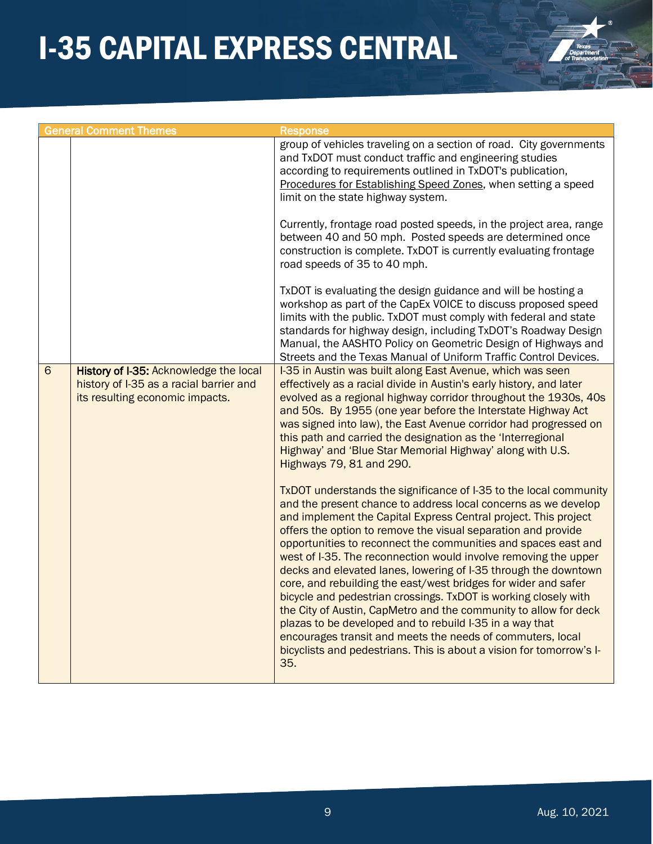

| and TxDOT must conduct traffic and engineering studies<br>according to requirements outlined in TxDOT's publication,<br>limit on the state highway system.<br>road speeds of 35 to 40 mph.<br>$6\phantom{1}$<br>History of I-35: Acknowledge the local<br>I-35 in Austin was built along East Avenue, which was seen<br>history of I-35 as a racial barrier and<br>effectively as a racial divide in Austin's early history, and later<br>its resulting economic impacts. | <b>General Comment Themes</b> | <b>Response</b>                                                                                                                                                                                                                                                                                                                                                                                                                                                                                                                                                                                                                                                                                 |
|---------------------------------------------------------------------------------------------------------------------------------------------------------------------------------------------------------------------------------------------------------------------------------------------------------------------------------------------------------------------------------------------------------------------------------------------------------------------------|-------------------------------|-------------------------------------------------------------------------------------------------------------------------------------------------------------------------------------------------------------------------------------------------------------------------------------------------------------------------------------------------------------------------------------------------------------------------------------------------------------------------------------------------------------------------------------------------------------------------------------------------------------------------------------------------------------------------------------------------|
|                                                                                                                                                                                                                                                                                                                                                                                                                                                                           |                               | group of vehicles traveling on a section of road. City governments<br>Procedures for Establishing Speed Zones, when setting a speed                                                                                                                                                                                                                                                                                                                                                                                                                                                                                                                                                             |
|                                                                                                                                                                                                                                                                                                                                                                                                                                                                           |                               | Currently, frontage road posted speeds, in the project area, range<br>between 40 and 50 mph. Posted speeds are determined once<br>construction is complete. TxDOT is currently evaluating frontage                                                                                                                                                                                                                                                                                                                                                                                                                                                                                              |
|                                                                                                                                                                                                                                                                                                                                                                                                                                                                           |                               | TxDOT is evaluating the design guidance and will be hosting a<br>workshop as part of the CapEx VOICE to discuss proposed speed<br>limits with the public. TxDOT must comply with federal and state<br>standards for highway design, including TxDOT's Roadway Design<br>Manual, the AASHTO Policy on Geometric Design of Highways and<br>Streets and the Texas Manual of Uniform Traffic Control Devices.                                                                                                                                                                                                                                                                                       |
| this path and carried the designation as the 'Interregional<br>Highway' and 'Blue Star Memorial Highway' along with U.S.<br>Highways 79, 81 and 290.                                                                                                                                                                                                                                                                                                                      |                               | evolved as a regional highway corridor throughout the 1930s, 40s<br>and 50s. By 1955 (one year before the Interstate Highway Act<br>was signed into law), the East Avenue corridor had progressed on                                                                                                                                                                                                                                                                                                                                                                                                                                                                                            |
| offers the option to remove the visual separation and provide<br>plazas to be developed and to rebuild I-35 in a way that<br>encourages transit and meets the needs of commuters, local<br>35.                                                                                                                                                                                                                                                                            |                               | TxDOT understands the significance of I-35 to the local community<br>and the present chance to address local concerns as we develop<br>and implement the Capital Express Central project. This project<br>opportunities to reconnect the communities and spaces east and<br>west of I-35. The reconnection would involve removing the upper<br>decks and elevated lanes, lowering of I-35 through the downtown<br>core, and rebuilding the east/west bridges for wider and safer<br>bicycle and pedestrian crossings. TxDOT is working closely with<br>the City of Austin, CapMetro and the community to allow for deck<br>bicyclists and pedestrians. This is about a vision for tomorrow's I- |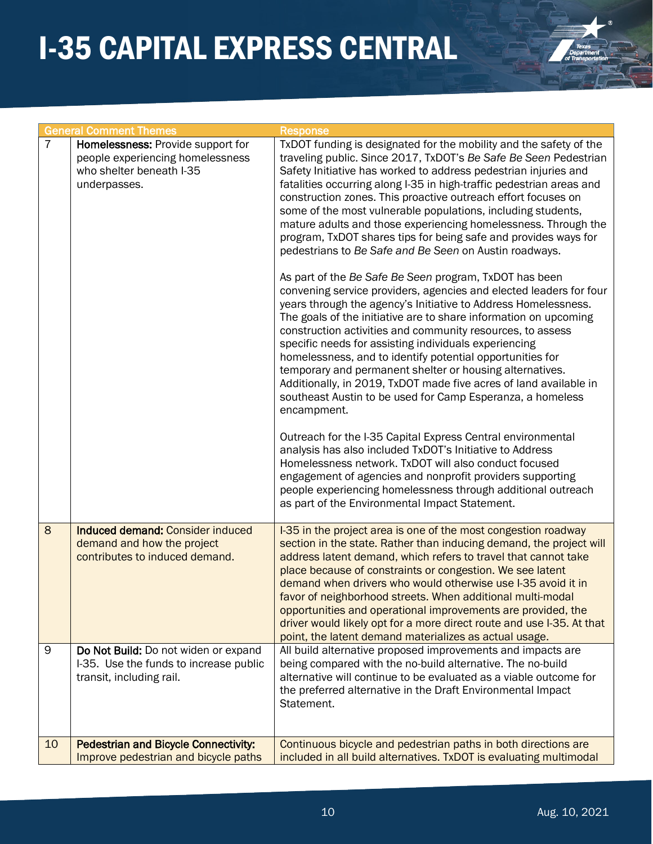

|    | <b>General Comment Themes</b>                                                                                     | <b>Response</b>                                                                                                                                                                                                                                                                                                                                                                                                                                                                                                                                                                                                                                                                                                                                                                                                                                                                                                                                                                                                                                                                                                                                                                                                                                                                                                                                                                                                                                                                                                                                                                                                                                              |
|----|-------------------------------------------------------------------------------------------------------------------|--------------------------------------------------------------------------------------------------------------------------------------------------------------------------------------------------------------------------------------------------------------------------------------------------------------------------------------------------------------------------------------------------------------------------------------------------------------------------------------------------------------------------------------------------------------------------------------------------------------------------------------------------------------------------------------------------------------------------------------------------------------------------------------------------------------------------------------------------------------------------------------------------------------------------------------------------------------------------------------------------------------------------------------------------------------------------------------------------------------------------------------------------------------------------------------------------------------------------------------------------------------------------------------------------------------------------------------------------------------------------------------------------------------------------------------------------------------------------------------------------------------------------------------------------------------------------------------------------------------------------------------------------------------|
| 7  | Homelessness: Provide support for<br>people experiencing homelessness<br>who shelter beneath I-35<br>underpasses. | TxDOT funding is designated for the mobility and the safety of the<br>traveling public. Since 2017, TxDOT's Be Safe Be Seen Pedestrian<br>Safety Initiative has worked to address pedestrian injuries and<br>fatalities occurring along I-35 in high-traffic pedestrian areas and<br>construction zones. This proactive outreach effort focuses on<br>some of the most vulnerable populations, including students,<br>mature adults and those experiencing homelessness. Through the<br>program, TxDOT shares tips for being safe and provides ways for<br>pedestrians to Be Safe and Be Seen on Austin roadways.<br>As part of the Be Safe Be Seen program, TxDOT has been<br>convening service providers, agencies and elected leaders for four<br>years through the agency's Initiative to Address Homelessness.<br>The goals of the initiative are to share information on upcoming<br>construction activities and community resources, to assess<br>specific needs for assisting individuals experiencing<br>homelessness, and to identify potential opportunities for<br>temporary and permanent shelter or housing alternatives.<br>Additionally, in 2019, TxDOT made five acres of land available in<br>southeast Austin to be used for Camp Esperanza, a homeless<br>encampment.<br>Outreach for the I-35 Capital Express Central environmental<br>analysis has also included TxDOT's Initiative to Address<br>Homelessness network. TxDOT will also conduct focused<br>engagement of agencies and nonprofit providers supporting<br>people experiencing homelessness through additional outreach<br>as part of the Environmental Impact Statement. |
| 8  | Induced demand: Consider induced<br>demand and how the project<br>contributes to induced demand.                  | I-35 in the project area is one of the most congestion roadway<br>section in the state. Rather than inducing demand, the project will<br>address latent demand, which refers to travel that cannot take<br>place because of constraints or congestion. We see latent<br>demand when drivers who would otherwise use I-35 avoid it in<br>favor of neighborhood streets. When additional multi-modal<br>opportunities and operational improvements are provided, the<br>driver would likely opt for a more direct route and use I-35. At that<br>point, the latent demand materializes as actual usage.                                                                                                                                                                                                                                                                                                                                                                                                                                                                                                                                                                                                                                                                                                                                                                                                                                                                                                                                                                                                                                                        |
| 9  | Do Not Build: Do not widen or expand<br>I-35. Use the funds to increase public<br>transit, including rail.        | All build alternative proposed improvements and impacts are<br>being compared with the no-build alternative. The no-build<br>alternative will continue to be evaluated as a viable outcome for<br>the preferred alternative in the Draft Environmental Impact<br>Statement.                                                                                                                                                                                                                                                                                                                                                                                                                                                                                                                                                                                                                                                                                                                                                                                                                                                                                                                                                                                                                                                                                                                                                                                                                                                                                                                                                                                  |
| 10 | <b>Pedestrian and Bicycle Connectivity:</b><br>Improve pedestrian and bicycle paths                               | Continuous bicycle and pedestrian paths in both directions are<br>included in all build alternatives. TxDOT is evaluating multimodal                                                                                                                                                                                                                                                                                                                                                                                                                                                                                                                                                                                                                                                                                                                                                                                                                                                                                                                                                                                                                                                                                                                                                                                                                                                                                                                                                                                                                                                                                                                         |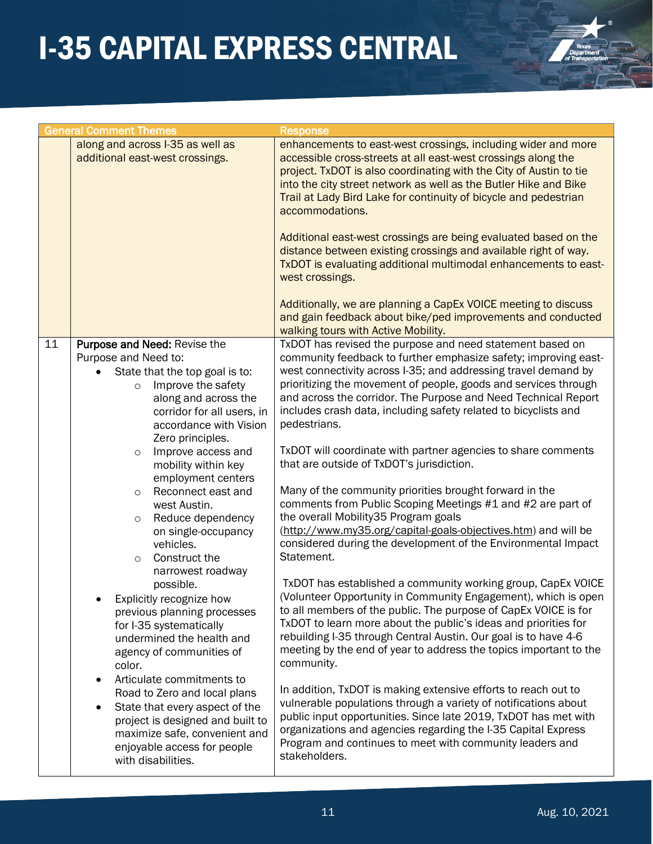

|    | <b>General Comment Themes</b>    | <b>Response</b>                                                    |
|----|----------------------------------|--------------------------------------------------------------------|
|    | along and across I-35 as well as | enhancements to east-west crossings, including wider and more      |
|    | additional east-west crossings.  | accessible cross-streets at all east-west crossings along the      |
|    |                                  | project. TxDOT is also coordinating with the City of Austin to tie |
|    |                                  | into the city street network as well as the Butler Hike and Bike   |
|    |                                  | Trail at Lady Bird Lake for continuity of bicycle and pedestrian   |
|    |                                  | accommodations.                                                    |
|    |                                  |                                                                    |
|    |                                  | Additional east-west crossings are being evaluated based on the    |
|    |                                  | distance between existing crossings and available right of way.    |
|    |                                  | TxDOT is evaluating additional multimodal enhancements to east-    |
|    |                                  | west crossings.                                                    |
|    |                                  |                                                                    |
|    |                                  | Additionally, we are planning a CapEx VOICE meeting to discuss     |
|    |                                  | and gain feedback about bike/ped improvements and conducted        |
|    |                                  | walking tours with Active Mobility.                                |
| 11 | Purpose and Need: Revise the     | TxDOT has revised the purpose and need statement based on          |
|    | Purpose and Need to:             | community feedback to further emphasize safety; improving east-    |
|    | State that the top goal is to:   | west connectivity across I-35; and addressing travel demand by     |
|    | Improve the safety<br>$\circ$    | prioritizing the movement of people, goods and services through    |
|    | along and across the             | and across the corridor. The Purpose and Need Technical Report     |
|    | corridor for all users, in       | includes crash data, including safety related to bicyclists and    |
|    | accordance with Vision           | pedestrians.                                                       |
|    | Zero principles.                 |                                                                    |
|    | Improve access and<br>$\circ$    | TxDOT will coordinate with partner agencies to share comments      |
|    | mobility within key              | that are outside of TxDOT's jurisdiction.                          |
|    | employment centers               |                                                                    |
|    | Reconnect east and<br>$\circ$    | Many of the community priorities brought forward in the            |
|    | west Austin.                     | comments from Public Scoping Meetings #1 and #2 are part of        |
|    | Reduce dependency<br>$\circ$     | the overall Mobility35 Program goals                               |
|    | on single-occupancy              | (http://www.my35.org/capital-goals-objectives.htm) and will be     |
|    | vehicles.                        | considered during the development of the Environmental Impact      |
|    | Construct the<br>$\circ$         | Statement.                                                         |
|    | narrowest roadway                |                                                                    |
|    | possible.                        | TxDOT has established a community working group, CapEx VOICE       |
|    | Explicitly recognize how         | (Volunteer Opportunity in Community Engagement), which is open     |
|    | previous planning processes      | to all members of the public. The purpose of CapEx VOICE is for    |
|    | for I-35 systematically          | TxDOT to learn more about the public's ideas and priorities for    |
|    | undermined the health and        | rebuilding I-35 through Central Austin. Our goal is to have 4-6    |
|    | agency of communities of         | meeting by the end of year to address the topics important to the  |
|    | color.                           | community.                                                         |
|    | Articulate commitments to        |                                                                    |
|    | Road to Zero and local plans     | In addition, TxDOT is making extensive efforts to reach out to     |
|    | State that every aspect of the   | vulnerable populations through a variety of notifications about    |
|    | project is designed and built to | public input opportunities. Since late 2019, TxDOT has met with    |
|    | maximize safe, convenient and    | organizations and agencies regarding the I-35 Capital Express      |
|    | enjoyable access for people      | Program and continues to meet with community leaders and           |
|    | with disabilities.               | stakeholders.                                                      |
|    |                                  |                                                                    |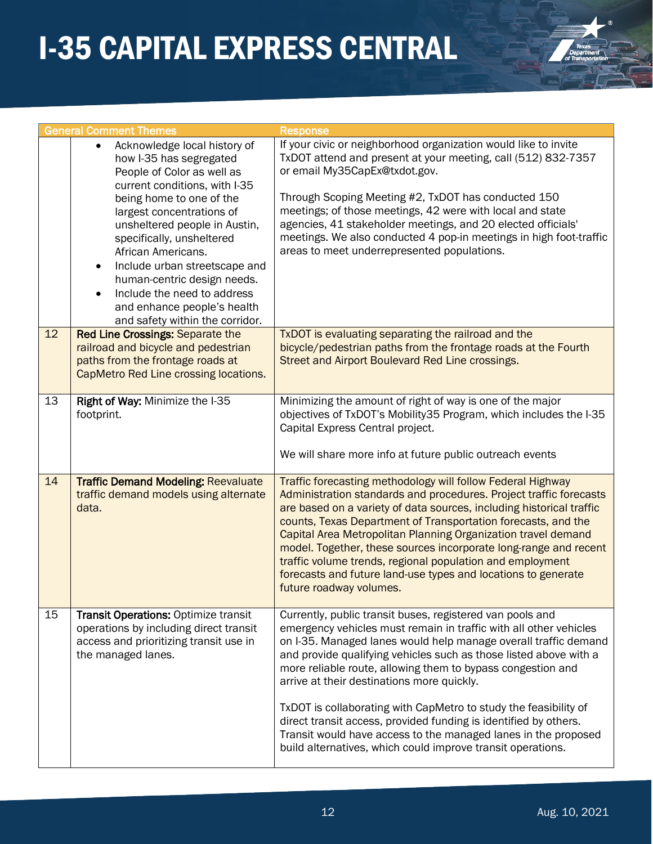

|    | <b>General Comment Themes</b>                                                                                                                                                                                                                                                                              | <b>Response</b>                                                                                                                                                                                                                                                                                                                                                                                                                                                                                                                                                                                                                                              |
|----|------------------------------------------------------------------------------------------------------------------------------------------------------------------------------------------------------------------------------------------------------------------------------------------------------------|--------------------------------------------------------------------------------------------------------------------------------------------------------------------------------------------------------------------------------------------------------------------------------------------------------------------------------------------------------------------------------------------------------------------------------------------------------------------------------------------------------------------------------------------------------------------------------------------------------------------------------------------------------------|
|    | Acknowledge local history of<br>$\bullet$<br>how I-35 has segregated<br>People of Color as well as<br>current conditions, with I-35                                                                                                                                                                        | If your civic or neighborhood organization would like to invite<br>TxDOT attend and present at your meeting, call (512) 832-7357<br>or email My35CapEx@txdot.gov.                                                                                                                                                                                                                                                                                                                                                                                                                                                                                            |
|    | being home to one of the<br>largest concentrations of<br>unsheltered people in Austin,<br>specifically, unsheltered<br>African Americans.<br>Include urban streetscape and<br>human-centric design needs.<br>Include the need to address<br>and enhance people's health<br>and safety within the corridor. | Through Scoping Meeting #2, TxDOT has conducted 150<br>meetings; of those meetings, 42 were with local and state<br>agencies, 41 stakeholder meetings, and 20 elected officials'<br>meetings. We also conducted 4 pop-in meetings in high foot-traffic<br>areas to meet underrepresented populations.                                                                                                                                                                                                                                                                                                                                                        |
| 12 | <b>Red Line Crossings: Separate the</b><br>railroad and bicycle and pedestrian<br>paths from the frontage roads at<br>CapMetro Red Line crossing locations.                                                                                                                                                | TxDOT is evaluating separating the railroad and the<br>bicycle/pedestrian paths from the frontage roads at the Fourth<br>Street and Airport Boulevard Red Line crossings.                                                                                                                                                                                                                                                                                                                                                                                                                                                                                    |
| 13 | Right of Way: Minimize the I-35<br>footprint.                                                                                                                                                                                                                                                              | Minimizing the amount of right of way is one of the major<br>objectives of TxDOT's Mobility35 Program, which includes the I-35<br>Capital Express Central project.<br>We will share more info at future public outreach events                                                                                                                                                                                                                                                                                                                                                                                                                               |
| 14 | <b>Traffic Demand Modeling: Reevaluate</b><br>traffic demand models using alternate<br>data.                                                                                                                                                                                                               | Traffic forecasting methodology will follow Federal Highway<br>Administration standards and procedures. Project traffic forecasts<br>are based on a variety of data sources, including historical traffic<br>counts, Texas Department of Transportation forecasts, and the<br>Capital Area Metropolitan Planning Organization travel demand<br>model. Together, these sources incorporate long-range and recent<br>traffic volume trends, regional population and employment<br>forecasts and future land-use types and locations to generate<br>future roadway volumes.                                                                                     |
| 15 | <b>Transit Operations: Optimize transit</b><br>operations by including direct transit<br>access and prioritizing transit use in<br>the managed lanes.                                                                                                                                                      | Currently, public transit buses, registered van pools and<br>emergency vehicles must remain in traffic with all other vehicles<br>on I-35. Managed lanes would help manage overall traffic demand<br>and provide qualifying vehicles such as those listed above with a<br>more reliable route, allowing them to bypass congestion and<br>arrive at their destinations more quickly.<br>TxDOT is collaborating with CapMetro to study the feasibility of<br>direct transit access, provided funding is identified by others.<br>Transit would have access to the managed lanes in the proposed<br>build alternatives, which could improve transit operations. |